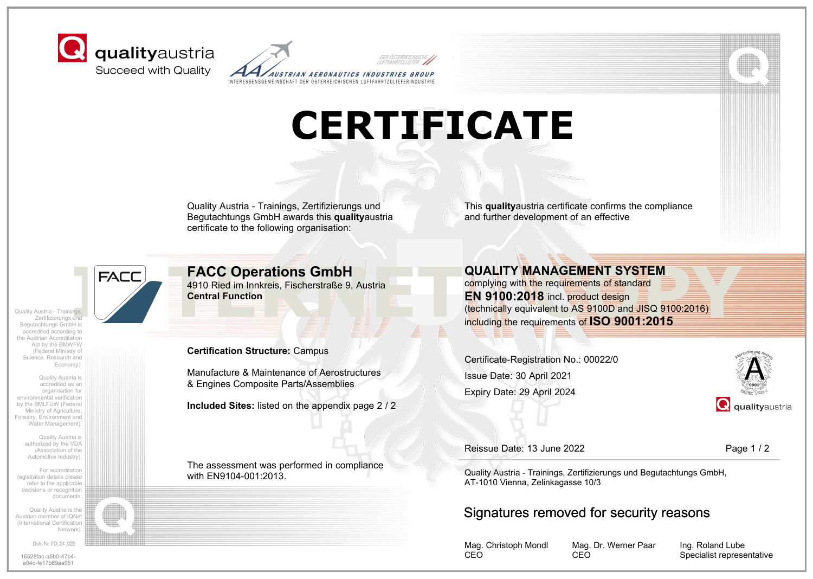



## **CERTIFICATE**

Quality Austria - Trainings, Zertifizierungs und Begutachtungs GmbH awards this **quality**austria certificate to the following organisation:

This **quality**austria certificate confirms the compliance and further development of an effective

Quality Austria - Trainings, Zertifizierungs und Begutachtungs GmbH is accredited according to the Austrian Accreditation Act by the BMWFW (Federal Ministry of Science, Research and Economy).

Quality Austria is accredited as an organisation for environmental verification by the BMLFUW (Federal Ministry of Agriculture, Forestry, Environment and Water Management).

> Quality Austria is authorized by the VDA (Association of the Automotive Industry).

For accreditation registration details please refer to the applicable decisions or recognition documents.

Quality Austria is the Austrian member of IQNet (International Certification Network).

Dok. Nr. FO\_24\_028

16528fac-a5b0-47b4 a04c-fe17b69aa961

### **FACC Operations GmbH**

4910 Ried im Innkreis, Fischerstraße 9, Austria **Central Function**

**Certification Structure:** Campus

Manufacture & Maintenance of Aerostructures & Engines Composite Parts/Assemblies

**Included Sites:** listed on the appendix page 2 / 2

The assessment was performed in compliance with EN9104-001:2013.

**INTERNET SYSTEM**<br>
4910 Ried im Innkreis, Fischerstraße 9, Austria<br>
Central Function<br>
This and Central Function<br>
This and the requirements of standard<br>
Central Function<br>
The requirements of ISO 9001:2015<br>
The requirements **QUALITY MANAGEMENT SYSTEM** complying with the requirements of standard **EN 9100:2018** incl. product design

(technically equivalent to AS 9100D and JISQ 9100:2016) including the requirements of **ISO 9001:2015**

Certificate-Registration No.: 00022/0 Expiry Date: 29 April 2024 Issue Date: 30 April 2021



Reissue Date: 13 June 2022

Page 1 / 2

Quality Austria - Trainings, Zertifizierungs und Begutachtungs GmbH, AT-1010 Vienna, Zelinkagasse 10/3

#### Signatures removed for security reasons

Mag. Christoph Mondl CEO

Mag. Dr. Werner Paar CEO

Ing. Roland Lube Specialist representative